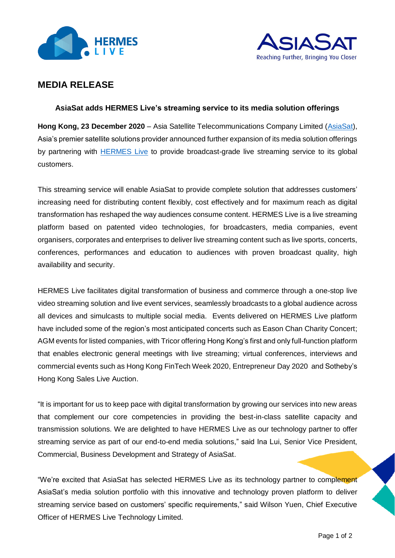



# **MEDIA RELEASE**

# **AsiaSat adds HERMES Live's streaming service to its media solution offerings**

**Hong Kong, 23 December 2020** – Asia Satellite Telecommunications Company Limited [\(AsiaSat\)](https://www.asiasat.com/), Asia's premier satellite solutions provider announced further expansion of its media solution offerings by partnering with [HERMES Live](https://www.oneclickgolive.com/) to provide broadcast-grade live streaming service to its global customers.

This streaming service will enable AsiaSat to provide complete solution that addresses customers' increasing need for distributing content flexibly, cost effectively and for maximum reach as digital transformation has reshaped the way audiences consume content. HERMES Live is a live streaming platform based on patented video technologies, for broadcasters, media companies, event organisers, corporates and enterprises to deliver live streaming content such as live sports, concerts, conferences, performances and education to audiences with proven broadcast quality, high availability and security.

HERMES Live facilitates digital transformation of business and commerce through a one-stop live video streaming solution and live event services, seamlessly broadcasts to a global audience across all devices and simulcasts to multiple social media. Events delivered on HERMES Live platform have included some of the region's most anticipated concerts such as Eason Chan Charity Concert; AGM events for listed companies, with Tricor offering Hong Kong's first and only full-function platform that enables electronic general meetings with live streaming; virtual conferences, interviews and commercial events such as Hong Kong FinTech Week 2020, Entrepreneur Day 2020 and Sotheby's Hong Kong Sales Live Auction.

"It is important for us to keep pace with digital transformation by growing our services into new areas that complement our core competencies in providing the best-in-class satellite capacity and transmission solutions. We are delighted to have HERMES Live as our technology partner to offer streaming service as part of our end-to-end media solutions," said Ina Lui, Senior Vice President, Commercial, Business Development and Strategy of AsiaSat.

"We're excited that AsiaSat has selected HERMES Live as its technology partner to complement AsiaSat's media solution portfolio with this innovative and technology proven platform to deliver streaming service based on customers' specific requirements," said Wilson Yuen, Chief Executive Officer of HERMES Live Technology Limited.